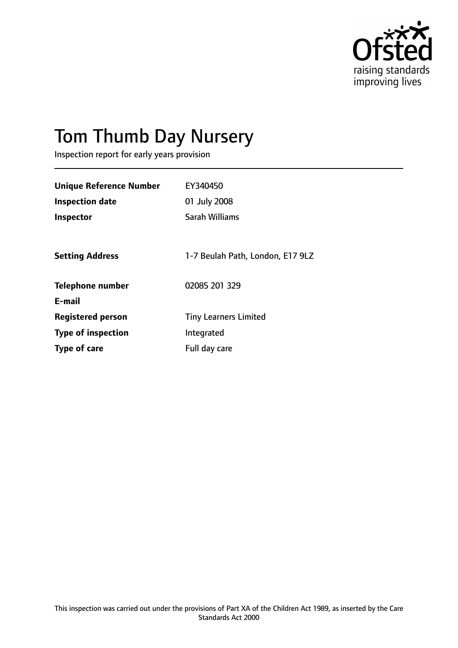

# Tom Thumb Day Nursery

Inspection report for early years provision

| <b>Unique Reference Number</b> | EY340450                         |
|--------------------------------|----------------------------------|
| <b>Inspection date</b>         | 01 July 2008                     |
| Inspector                      | Sarah Williams                   |
|                                |                                  |
| <b>Setting Address</b>         | 1-7 Beulah Path, London, E17 9LZ |
| <b>Telephone number</b>        | 02085 201 329                    |
| E-mail                         |                                  |
| <b>Registered person</b>       | <b>Tiny Learners Limited</b>     |
| <b>Type of inspection</b>      | Integrated                       |
| Type of care                   | Full day care                    |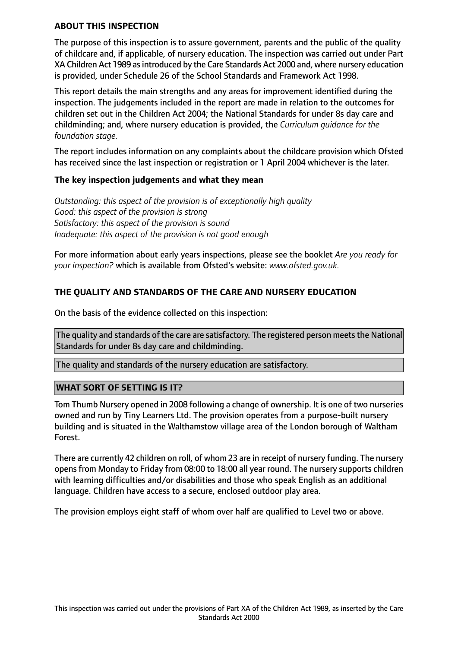#### **ABOUT THIS INSPECTION**

The purpose of this inspection is to assure government, parents and the public of the quality of childcare and, if applicable, of nursery education. The inspection was carried out under Part XA Children Act 1989 as introduced by the Care Standards Act 2000 and, where nursery education is provided, under Schedule 26 of the School Standards and Framework Act 1998.

This report details the main strengths and any areas for improvement identified during the inspection. The judgements included in the report are made in relation to the outcomes for children set out in the Children Act 2004; the National Standards for under 8s day care and childminding; and, where nursery education is provided, the *Curriculum guidance for the foundation stage.*

The report includes information on any complaints about the childcare provision which Ofsted has received since the last inspection or registration or 1 April 2004 whichever is the later.

#### **The key inspection judgements and what they mean**

*Outstanding: this aspect of the provision is of exceptionally high quality Good: this aspect of the provision is strong Satisfactory: this aspect of the provision is sound Inadequate: this aspect of the provision is not good enough*

For more information about early years inspections, please see the booklet *Are you ready for your inspection?* which is available from Ofsted's website: *www.ofsted.gov.uk.*

## **THE QUALITY AND STANDARDS OF THE CARE AND NURSERY EDUCATION**

On the basis of the evidence collected on this inspection:

The quality and standards of the care are satisfactory. The registered person meets the National Standards for under 8s day care and childminding.

The quality and standards of the nursery education are satisfactory.

## **WHAT SORT OF SETTING IS IT?**

Tom Thumb Nursery opened in 2008 following a change of ownership. It is one of two nurseries owned and run by Tiny Learners Ltd. The provision operates from a purpose-built nursery building and is situated in the Walthamstow village area of the London borough of Waltham Forest.

There are currently 42 children on roll, of whom 23 are in receipt of nursery funding. The nursery opens from Monday to Friday from 08:00 to 18:00 all year round. The nursery supports children with learning difficulties and/or disabilities and those who speak English as an additional language. Children have access to a secure, enclosed outdoor play area.

The provision employs eight staff of whom over half are qualified to Level two or above.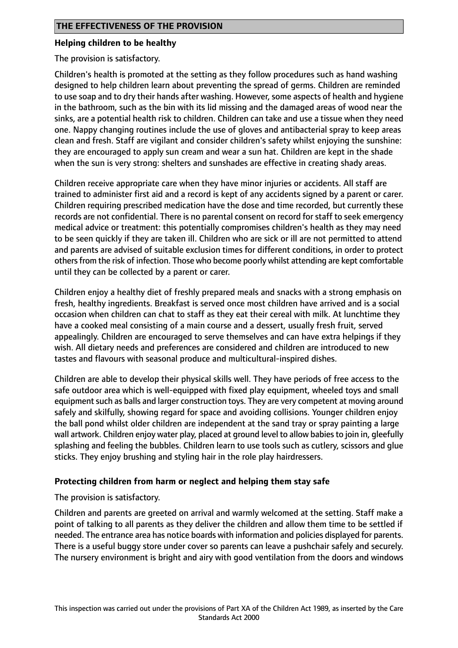#### **Helping children to be healthy**

The provision is satisfactory.

Children's health is promoted at the setting as they follow procedures such as hand washing designed to help children learn about preventing the spread of germs. Children are reminded to use soap and to dry their hands after washing. However, some aspects of health and hygiene in the bathroom, such as the bin with its lid missing and the damaged areas of wood near the sinks, are a potential health risk to children. Children can take and use a tissue when they need one. Nappy changing routines include the use of gloves and antibacterial spray to keep areas clean and fresh. Staff are vigilant and consider children's safety whilst enjoying the sunshine: they are encouraged to apply sun cream and wear a sun hat. Children are kept in the shade when the sun is very strong: shelters and sunshades are effective in creating shady areas.

Children receive appropriate care when they have minor injuries or accidents. All staff are trained to administer first aid and a record is kept of any accidents signed by a parent or carer. Children requiring prescribed medication have the dose and time recorded, but currently these records are not confidential. There is no parental consent on record for staff to seek emergency medical advice or treatment: this potentially compromises children's health as they may need to be seen quickly if they are taken ill. Children who are sick or ill are not permitted to attend and parents are advised of suitable exclusion times for different conditions, in order to protect othersfrom the risk of infection. Those who become poorly whilst attending are kept comfortable until they can be collected by a parent or carer.

Children enjoy a healthy diet of freshly prepared meals and snacks with a strong emphasis on fresh, healthy ingredients. Breakfast is served once most children have arrived and is a social occasion when children can chat to staff as they eat their cereal with milk. At lunchtime they have a cooked meal consisting of a main course and a dessert, usually fresh fruit, served appealingly. Children are encouraged to serve themselves and can have extra helpings if they wish. All dietary needs and preferences are considered and children are introduced to new tastes and flavours with seasonal produce and multicultural-inspired dishes.

Children are able to develop their physical skills well. They have periods of free access to the safe outdoor area which is well-equipped with fixed play equipment, wheeled toys and small equipment such as balls and larger construction toys. They are very competent at moving around safely and skilfully, showing regard for space and avoiding collisions. Younger children enjoy the ball pond whilst older children are independent at the sand tray or spray painting a large wall artwork. Children enjoy water play, placed at ground level to allow babiesto join in, gleefully splashing and feeling the bubbles. Children learn to use tools such as cutlery, scissors and glue sticks. They enjoy brushing and styling hair in the role play hairdressers.

## **Protecting children from harm or neglect and helping them stay safe**

The provision is satisfactory.

Children and parents are greeted on arrival and warmly welcomed at the setting. Staff make a point of talking to all parents as they deliver the children and allow them time to be settled if needed. The entrance area has notice boards with information and policies displayed for parents. There is a useful buggy store under cover so parents can leave a pushchair safely and securely. The nursery environment is bright and airy with good ventilation from the doors and windows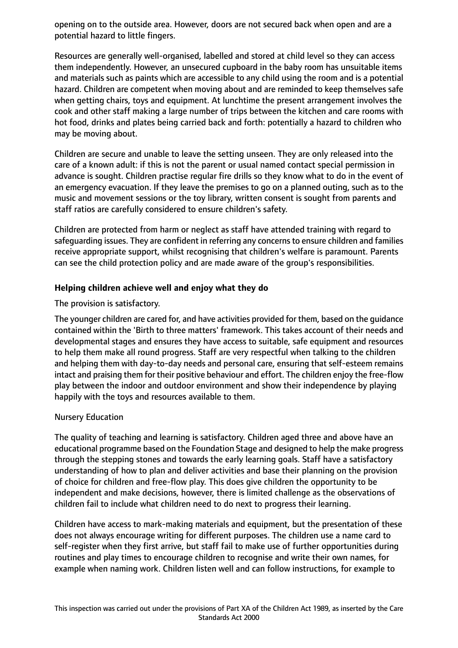opening on to the outside area. However, doors are not secured back when open and are a potential hazard to little fingers.

Resources are generally well-organised, labelled and stored at child level so they can access them independently. However, an unsecured cupboard in the baby room has unsuitable items and materials such as paints which are accessible to any child using the room and is a potential hazard. Children are competent when moving about and are reminded to keep themselves safe when getting chairs, toys and equipment. At lunchtime the present arrangement involves the cook and other staff making a large number of trips between the kitchen and care rooms with hot food, drinks and plates being carried back and forth: potentially a hazard to children who may be moving about.

Children are secure and unable to leave the setting unseen. They are only released into the care of a known adult: if this is not the parent or usual named contact special permission in advance is sought. Children practise regular fire drills so they know what to do in the event of an emergency evacuation. If they leave the premises to go on a planned outing, such as to the music and movement sessions or the toy library, written consent is sought from parents and staff ratios are carefully considered to ensure children's safety.

Children are protected from harm or neglect as staff have attended training with regard to safeguarding issues. They are confident in referring any concerns to ensure children and families receive appropriate support, whilst recognising that children's welfare is paramount. Parents can see the child protection policy and are made aware of the group's responsibilities.

## **Helping children achieve well and enjoy what they do**

The provision is satisfactory.

The younger children are cared for, and have activities provided for them, based on the guidance contained within the 'Birth to three matters' framework. This takes account of their needs and developmental stages and ensures they have access to suitable, safe equipment and resources to help them make all round progress. Staff are very respectful when talking to the children and helping them with day-to-day needs and personal care, ensuring that self-esteem remains intact and praising them for their positive behaviour and effort. The children enjoy the free-flow play between the indoor and outdoor environment and show their independence by playing happily with the toys and resources available to them.

## Nursery Education

The quality of teaching and learning is satisfactory. Children aged three and above have an educational programme based on the Foundation Stage and designed to help the make progress through the stepping stones and towards the early learning goals. Staff have a satisfactory understanding of how to plan and deliver activities and base their planning on the provision of choice for children and free-flow play. This does give children the opportunity to be independent and make decisions, however, there is limited challenge as the observations of children fail to include what children need to do next to progress their learning.

Children have access to mark-making materials and equipment, but the presentation of these does not always encourage writing for different purposes. The children use a name card to self-register when they first arrive, but staff fail to make use of further opportunities during routines and play times to encourage children to recognise and write their own names, for example when naming work. Children listen well and can follow instructions, for example to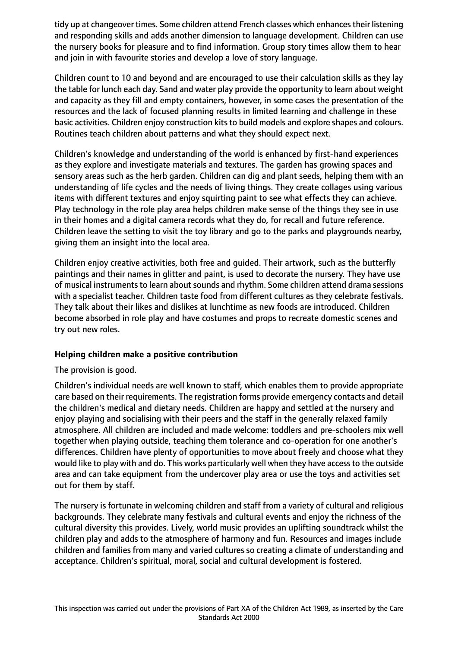tidy up at changeover times. Some children attend French classes which enhances their listening and responding skills and adds another dimension to language development. Children can use the nursery books for pleasure and to find information. Group story times allow them to hear and join in with favourite stories and develop a love of story language.

Children count to 10 and beyond and are encouraged to use their calculation skills as they lay the table for lunch each day. Sand and water play provide the opportunity to learn about weight and capacity as they fill and empty containers, however, in some cases the presentation of the resources and the lack of focused planning results in limited learning and challenge in these basic activities. Children enjoy construction kits to build models and explore shapes and colours. Routines teach children about patterns and what they should expect next.

Children's knowledge and understanding of the world is enhanced by first-hand experiences as they explore and investigate materials and textures. The garden has growing spaces and sensory areas such as the herb garden. Children can dig and plant seeds, helping them with an understanding of life cycles and the needs of living things. They create collages using various items with different textures and enjoy squirting paint to see what effects they can achieve. Play technology in the role play area helps children make sense of the things they see in use in their homes and a digital camera records what they do, for recall and future reference. Children leave the setting to visit the toy library and go to the parks and playgrounds nearby, giving them an insight into the local area.

Children enjoy creative activities, both free and guided. Their artwork, such as the butterfly paintings and their names in glitter and paint, is used to decorate the nursery. They have use of musical instruments to learn about sounds and rhythm. Some children attend drama sessions with a specialist teacher. Children taste food from different cultures as they celebrate festivals. They talk about their likes and dislikes at lunchtime as new foods are introduced. Children become absorbed in role play and have costumes and props to recreate domestic scenes and try out new roles.

## **Helping children make a positive contribution**

The provision is good.

Children's individual needs are well known to staff, which enables them to provide appropriate care based on their requirements. The registration forms provide emergency contacts and detail the children's medical and dietary needs. Children are happy and settled at the nursery and enjoy playing and socialising with their peers and the staff in the generally relaxed family atmosphere. All children are included and made welcome: toddlers and pre-schoolers mix well together when playing outside, teaching them tolerance and co-operation for one another's differences. Children have plenty of opportunities to move about freely and choose what they would like to play with and do. This works particularly well when they have access to the outside area and can take equipment from the undercover play area or use the toys and activities set out for them by staff.

The nursery is fortunate in welcoming children and staff from a variety of cultural and religious backgrounds. They celebrate many festivals and cultural events and enjoy the richness of the cultural diversity this provides. Lively, world music provides an uplifting soundtrack whilst the children play and adds to the atmosphere of harmony and fun. Resources and images include children and families from many and varied cultures so creating a climate of understanding and acceptance. Children's spiritual, moral, social and cultural development is fostered.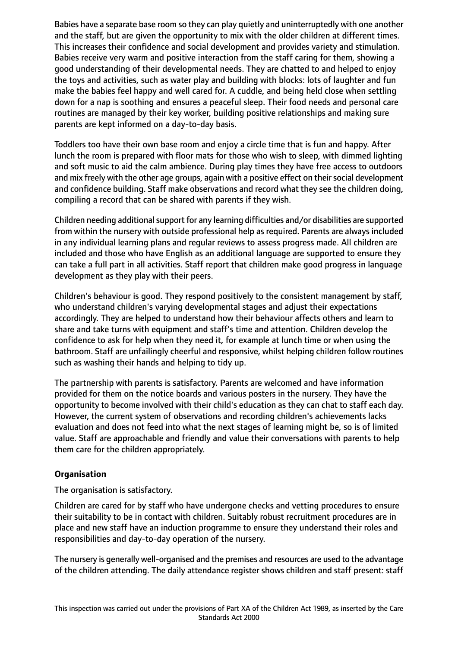Babies have a separate base room so they can play quietly and uninterruptedly with one another and the staff, but are given the opportunity to mix with the older children at different times. This increases their confidence and social development and provides variety and stimulation. Babies receive very warm and positive interaction from the staff caring for them, showing a good understanding of their developmental needs. They are chatted to and helped to enjoy the toys and activities, such as water play and building with blocks: lots of laughter and fun make the babies feel happy and well cared for. A cuddle, and being held close when settling down for a nap is soothing and ensures a peaceful sleep. Their food needs and personal care routines are managed by their key worker, building positive relationships and making sure parents are kept informed on a day-to-day basis.

Toddlers too have their own base room and enjoy a circle time that is fun and happy. After lunch the room is prepared with floor mats for those who wish to sleep, with dimmed lighting and soft music to aid the calm ambience. During play times they have free access to outdoors and mix freely with the other age groups, again with a positive effect on their social development and confidence building. Staff make observations and record what they see the children doing, compiling a record that can be shared with parents if they wish.

Children needing additional support for any learning difficulties and/or disabilities are supported from within the nursery with outside professional help as required. Parents are always included in any individual learning plans and regular reviews to assess progress made. All children are included and those who have English as an additional language are supported to ensure they can take a full part in all activities. Staff report that children make good progress in language development as they play with their peers.

Children's behaviour is good. They respond positively to the consistent management by staff, who understand children's varying developmental stages and adjust their expectations accordingly. They are helped to understand how their behaviour affects others and learn to share and take turns with equipment and staff's time and attention. Children develop the confidence to ask for help when they need it, for example at lunch time or when using the bathroom. Staff are unfailingly cheerful and responsive, whilst helping children follow routines such as washing their hands and helping to tidy up.

The partnership with parents is satisfactory. Parents are welcomed and have information provided for them on the notice boards and various posters in the nursery. They have the opportunity to become involved with their child's education as they can chat to staff each day. However, the current system of observations and recording children's achievements lacks evaluation and does not feed into what the next stages of learning might be, so is of limited value. Staff are approachable and friendly and value their conversations with parents to help them care for the children appropriately.

## **Organisation**

The organisation is satisfactory.

Children are cared for by staff who have undergone checks and vetting procedures to ensure their suitability to be in contact with children. Suitably robust recruitment procedures are in place and new staff have an induction programme to ensure they understand their roles and responsibilities and day-to-day operation of the nursery.

The nursery is generally well-organised and the premises and resources are used to the advantage of the children attending. The daily attendance register shows children and staff present: staff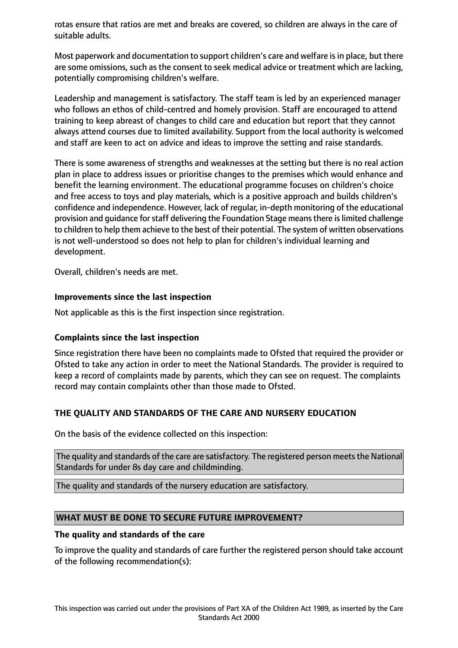rotas ensure that ratios are met and breaks are covered, so children are always in the care of suitable adults.

Most paperwork and documentation to support children's care and welfare isin place, but there are some omissions, such as the consent to seek medical advice or treatment which are lacking, potentially compromising children's welfare.

Leadership and management is satisfactory. The staff team is led by an experienced manager who follows an ethos of child-centred and homely provision. Staff are encouraged to attend training to keep abreast of changes to child care and education but report that they cannot always attend courses due to limited availability. Support from the local authority is welcomed and staff are keen to act on advice and ideas to improve the setting and raise standards.

There is some awareness of strengths and weaknesses at the setting but there is no real action plan in place to address issues or prioritise changes to the premises which would enhance and benefit the learning environment. The educational programme focuses on children's choice and free access to toys and play materials, which is a positive approach and builds children's confidence and independence. However, lack of regular, in-depth monitoring of the educational provision and guidance for staff delivering the Foundation Stage means there is limited challenge to children to help them achieve to the best of their potential. The system of written observations is not well-understood so does not help to plan for children's individual learning and development.

Overall, children's needs are met.

#### **Improvements since the last inspection**

Not applicable as this is the first inspection since registration.

## **Complaints since the last inspection**

Since registration there have been no complaints made to Ofsted that required the provider or Ofsted to take any action in order to meet the National Standards. The provider is required to keep a record of complaints made by parents, which they can see on request. The complaints record may contain complaints other than those made to Ofsted.

## **THE QUALITY AND STANDARDS OF THE CARE AND NURSERY EDUCATION**

On the basis of the evidence collected on this inspection:

The quality and standards of the care are satisfactory. The registered person meets the National Standards for under 8s day care and childminding.

The quality and standards of the nursery education are satisfactory.

## **WHAT MUST BE DONE TO SECURE FUTURE IMPROVEMENT?**

#### **The quality and standards of the care**

To improve the quality and standards of care further the registered person should take account of the following recommendation(s):